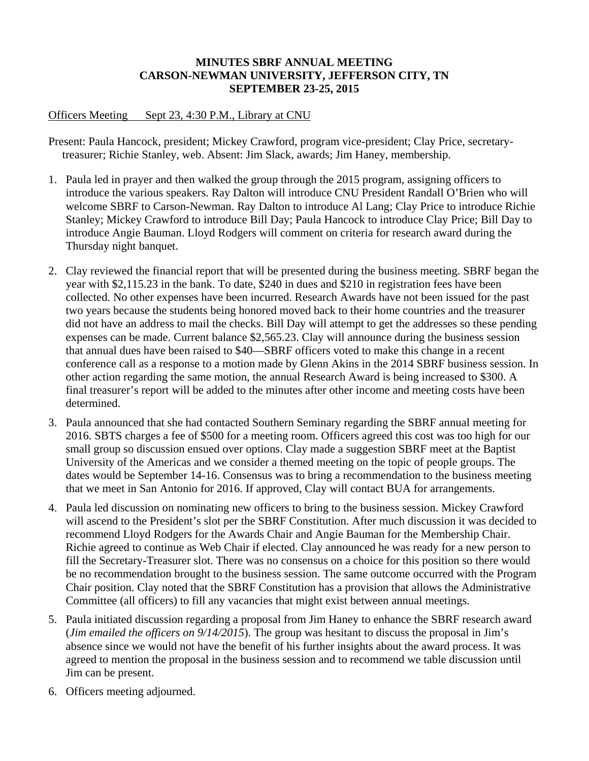### **MINUTES SBRF ANNUAL MEETING CARSON-NEWMAN UNIVERSITY, JEFFERSON CITY, TN SEPTEMBER 23-25, 2015**

## Officers Meeting Sept 23, 4:30 P.M., Library at CNU

Present: Paula Hancock, president; Mickey Crawford, program vice-president; Clay Price, secretarytreasurer; Richie Stanley, web. Absent: Jim Slack, awards; Jim Haney, membership.

- 1. Paula led in prayer and then walked the group through the 2015 program, assigning officers to introduce the various speakers. Ray Dalton will introduce CNU President Randall O'Brien who will welcome SBRF to Carson-Newman. Ray Dalton to introduce Al Lang; Clay Price to introduce Richie Stanley; Mickey Crawford to introduce Bill Day; Paula Hancock to introduce Clay Price; Bill Day to introduce Angie Bauman. Lloyd Rodgers will comment on criteria for research award during the Thursday night banquet.
- 2. Clay reviewed the financial report that will be presented during the business meeting. SBRF began the year with \$2,115.23 in the bank. To date, \$240 in dues and \$210 in registration fees have been collected. No other expenses have been incurred. Research Awards have not been issued for the past two years because the students being honored moved back to their home countries and the treasurer did not have an address to mail the checks. Bill Day will attempt to get the addresses so these pending expenses can be made. Current balance \$2,565.23. Clay will announce during the business session that annual dues have been raised to \$40—SBRF officers voted to make this change in a recent conference call as a response to a motion made by Glenn Akins in the 2014 SBRF business session. In other action regarding the same motion, the annual Research Award is being increased to \$300. A final treasurer's report will be added to the minutes after other income and meeting costs have been determined.
- 3. Paula announced that she had contacted Southern Seminary regarding the SBRF annual meeting for 2016. SBTS charges a fee of \$500 for a meeting room. Officers agreed this cost was too high for our small group so discussion ensued over options. Clay made a suggestion SBRF meet at the Baptist University of the Americas and we consider a themed meeting on the topic of people groups. The dates would be September 14-16. Consensus was to bring a recommendation to the business meeting that we meet in San Antonio for 2016. If approved, Clay will contact BUA for arrangements.
- 4. Paula led discussion on nominating new officers to bring to the business session. Mickey Crawford will ascend to the President's slot per the SBRF Constitution. After much discussion it was decided to recommend Lloyd Rodgers for the Awards Chair and Angie Bauman for the Membership Chair. Richie agreed to continue as Web Chair if elected. Clay announced he was ready for a new person to fill the Secretary-Treasurer slot. There was no consensus on a choice for this position so there would be no recommendation brought to the business session. The same outcome occurred with the Program Chair position. Clay noted that the SBRF Constitution has a provision that allows the Administrative Committee (all officers) to fill any vacancies that might exist between annual meetings.
- 5. Paula initiated discussion regarding a proposal from Jim Haney to enhance the SBRF research award (*Jim emailed the officers on 9/14/2015*). The group was hesitant to discuss the proposal in Jim's absence since we would not have the benefit of his further insights about the award process. It was agreed to mention the proposal in the business session and to recommend we table discussion until Jim can be present.
- 6. Officers meeting adjourned.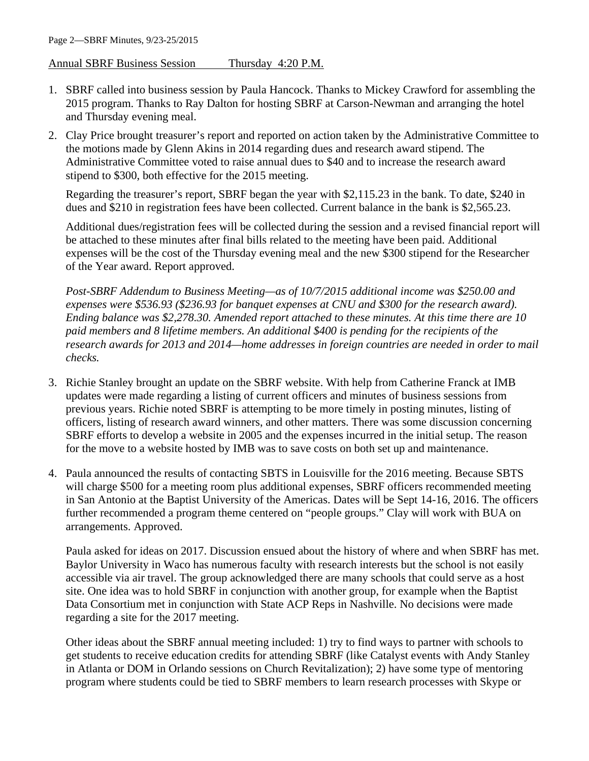### Annual SBRF Business Session Thursday 4:20 P.M.

- 1. SBRF called into business session by Paula Hancock. Thanks to Mickey Crawford for assembling the 2015 program. Thanks to Ray Dalton for hosting SBRF at Carson-Newman and arranging the hotel and Thursday evening meal.
- 2. Clay Price brought treasurer's report and reported on action taken by the Administrative Committee to the motions made by Glenn Akins in 2014 regarding dues and research award stipend. The Administrative Committee voted to raise annual dues to \$40 and to increase the research award stipend to \$300, both effective for the 2015 meeting.

Regarding the treasurer's report, SBRF began the year with \$2,115.23 in the bank. To date, \$240 in dues and \$210 in registration fees have been collected. Current balance in the bank is \$2,565.23.

Additional dues/registration fees will be collected during the session and a revised financial report will be attached to these minutes after final bills related to the meeting have been paid. Additional expenses will be the cost of the Thursday evening meal and the new \$300 stipend for the Researcher of the Year award. Report approved.

*Post-SBRF Addendum to Business Meeting—as of 10/7/2015 additional income was \$250.00 and expenses were \$536.93 (\$236.93 for banquet expenses at CNU and \$300 for the research award). Ending balance was \$2,278.30. Amended report attached to these minutes. At this time there are 10 paid members and 8 lifetime members. An additional \$400 is pending for the recipients of the research awards for 2013 and 2014—home addresses in foreign countries are needed in order to mail checks.*

- 3. Richie Stanley brought an update on the SBRF website. With help from Catherine Franck at IMB updates were made regarding a listing of current officers and minutes of business sessions from previous years. Richie noted SBRF is attempting to be more timely in posting minutes, listing of officers, listing of research award winners, and other matters. There was some discussion concerning SBRF efforts to develop a website in 2005 and the expenses incurred in the initial setup. The reason for the move to a website hosted by IMB was to save costs on both set up and maintenance.
- 4. Paula announced the results of contacting SBTS in Louisville for the 2016 meeting. Because SBTS will charge \$500 for a meeting room plus additional expenses, SBRF officers recommended meeting in San Antonio at the Baptist University of the Americas. Dates will be Sept 14-16, 2016. The officers further recommended a program theme centered on "people groups." Clay will work with BUA on arrangements. Approved.

Paula asked for ideas on 2017. Discussion ensued about the history of where and when SBRF has met. Baylor University in Waco has numerous faculty with research interests but the school is not easily accessible via air travel. The group acknowledged there are many schools that could serve as a host site. One idea was to hold SBRF in conjunction with another group, for example when the Baptist Data Consortium met in conjunction with State ACP Reps in Nashville. No decisions were made regarding a site for the 2017 meeting.

Other ideas about the SBRF annual meeting included: 1) try to find ways to partner with schools to get students to receive education credits for attending SBRF (like Catalyst events with Andy Stanley in Atlanta or DOM in Orlando sessions on Church Revitalization); 2) have some type of mentoring program where students could be tied to SBRF members to learn research processes with Skype or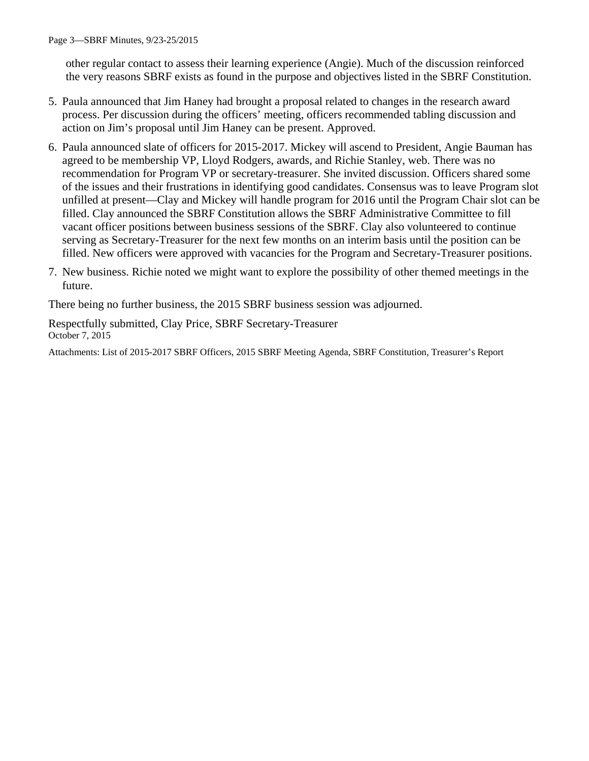other regular contact to assess their learning experience (Angie). Much of the discussion reinforced the very reasons SBRF exists as found in the purpose and objectives listed in the SBRF Constitution.

- 5. Paula announced that Jim Haney had brought a proposal related to changes in the research award process. Per discussion during the officers' meeting, officers recommended tabling discussion and action on Jim's proposal until Jim Haney can be present. Approved.
- 6. Paula announced slate of officers for 2015-2017. Mickey will ascend to President, Angie Bauman has agreed to be membership VP, Lloyd Rodgers, awards, and Richie Stanley, web. There was no recommendation for Program VP or secretary-treasurer. She invited discussion. Officers shared some of the issues and their frustrations in identifying good candidates. Consensus was to leave Program slot unfilled at present—Clay and Mickey will handle program for 2016 until the Program Chair slot can be filled. Clay announced the SBRF Constitution allows the SBRF Administrative Committee to fill vacant officer positions between business sessions of the SBRF. Clay also volunteered to continue serving as Secretary-Treasurer for the next few months on an interim basis until the position can be filled. New officers were approved with vacancies for the Program and Secretary-Treasurer positions.
- 7. New business. Richie noted we might want to explore the possibility of other themed meetings in the future.

There being no further business, the 2015 SBRF business session was adjourned.

Respectfully submitted, Clay Price, SBRF Secretary-Treasurer October 7, 2015

Attachments: List of 2015-2017 SBRF Officers, 2015 SBRF Meeting Agenda, SBRF Constitution, Treasurer's Report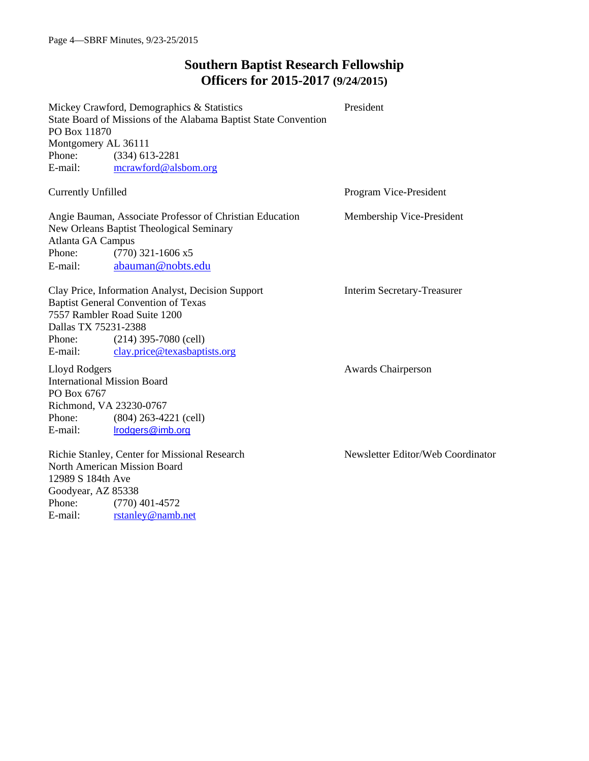# **Southern Baptist Research Fellowship Officers for 2015-2017 (9/24/2015)**

|                           | Mickey Crawford, Demographics & Statistics                      | President                         |  |  |  |  |
|---------------------------|-----------------------------------------------------------------|-----------------------------------|--|--|--|--|
|                           | State Board of Missions of the Alabama Baptist State Convention |                                   |  |  |  |  |
| PO Box 11870              |                                                                 |                                   |  |  |  |  |
| Montgomery AL 36111       |                                                                 |                                   |  |  |  |  |
| Phone:                    | $(334)$ 613-2281                                                |                                   |  |  |  |  |
| E-mail:                   | mcrawford@alsbom.org                                            |                                   |  |  |  |  |
| <b>Currently Unfilled</b> |                                                                 | Program Vice-President            |  |  |  |  |
|                           | Angie Bauman, Associate Professor of Christian Education        | Membership Vice-President         |  |  |  |  |
|                           | New Orleans Baptist Theological Seminary                        |                                   |  |  |  |  |
| Atlanta GA Campus         |                                                                 |                                   |  |  |  |  |
| Phone:                    | $(770)$ 321-1606 x5                                             |                                   |  |  |  |  |
| E-mail:                   | abauman@nobts.edu                                               |                                   |  |  |  |  |
|                           | Clay Price, Information Analyst, Decision Support               | Interim Secretary-Treasurer       |  |  |  |  |
|                           | <b>Baptist General Convention of Texas</b>                      |                                   |  |  |  |  |
|                           | 7557 Rambler Road Suite 1200                                    |                                   |  |  |  |  |
| Dallas TX 75231-2388      |                                                                 |                                   |  |  |  |  |
| Phone:                    | $(214)$ 395-7080 (cell)                                         |                                   |  |  |  |  |
| E-mail:                   | clay.price@texasbaptists.org                                    |                                   |  |  |  |  |
| Lloyd Rodgers             |                                                                 | <b>Awards Chairperson</b>         |  |  |  |  |
|                           | <b>International Mission Board</b>                              |                                   |  |  |  |  |
| PO Box 6767               |                                                                 |                                   |  |  |  |  |
| Richmond, VA 23230-0767   |                                                                 |                                   |  |  |  |  |
| Phone:                    | $(804)$ 263-4221 (cell)                                         |                                   |  |  |  |  |
| E-mail:                   | Irodgers@imb.org                                                |                                   |  |  |  |  |
|                           | Richie Stanley, Center for Missional Research                   | Newsletter Editor/Web Coordinator |  |  |  |  |
|                           | North American Mission Board                                    |                                   |  |  |  |  |
| 12989 S 184th Ave         |                                                                 |                                   |  |  |  |  |
| Goodyear, AZ 85338        |                                                                 |                                   |  |  |  |  |
| Phone:                    | $(770)$ 401-4572                                                |                                   |  |  |  |  |
| E-mail:                   | rstanley@namb.net                                               |                                   |  |  |  |  |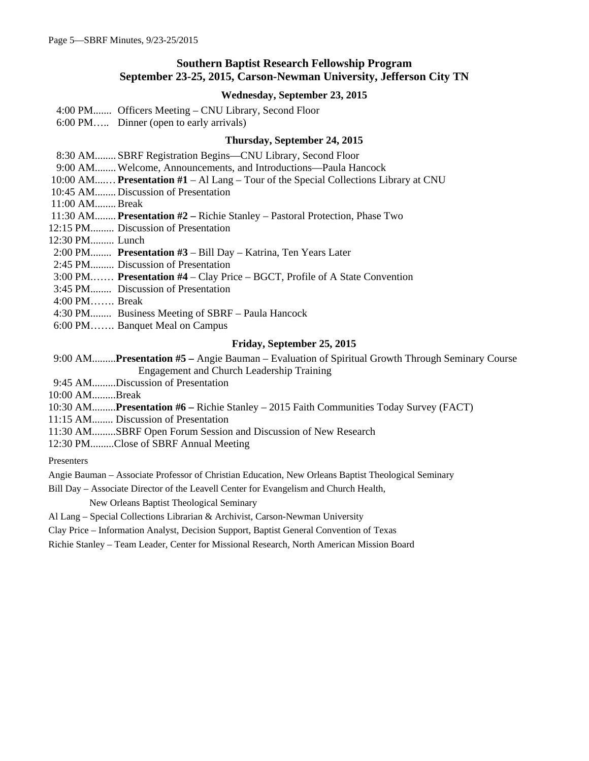### **Southern Baptist Research Fellowship Program September 23-25, 2015, Carson-Newman University, Jefferson City TN**

### **Wednesday, September 23, 2015**

4:00 PM....... Officers Meeting – CNU Library, Second Floor

6:00 PM….. Dinner (open to early arrivals)

#### **Thursday, September 24, 2015**

8:30 AM........ SBRF Registration Begins—CNU Library, Second Floor

9:00 AM........ Welcome, Announcements, and Introductions—Paula Hancock

10:00 AM....…**Presentation #1** – Al Lang – Tour of the Special Collections Library at CNU

10:45 AM........ Discussion of Presentation

- 11:00 AM........Break
- 11:30 AM........ **Presentation #2 –** Richie Stanley Pastoral Protection, Phase Two

12:15 PM......... Discussion of Presentation

12:30 PM......... Lunch

2:00 PM........ **Presentation #3** – Bill Day – Katrina, Ten Years Later

2:45 PM......... Discussion of Presentation

3:00 PM.…… **Presentation #4** – Clay Price – BGCT, Profile of A State Convention

3:45 PM........ Discussion of Presentation

4:00 PM……. Break

- 4:30 PM........ Business Meeting of SBRF Paula Hancock
- 6:00 PM……. Banquet Meal on Campus

#### **Friday, September 25, 2015**

 9:00 AM.........**Presentation #5 –** Angie Bauman – Evaluation of Spiritual Growth Through Seminary Course Engagement and Church Leadership Training

9:45 AM.........Discussion of Presentation

10:00 AM.........Break

10:30 AM.........**Presentation #6 –** Richie Stanley – 2015 Faith Communities Today Survey (FACT)

11:15 AM........ Discussion of Presentation

11:30 AM.........SBRF Open Forum Session and Discussion of New Research

12:30 PM.........Close of SBRF Annual Meeting

Presenters

Angie Bauman – Associate Professor of Christian Education, New Orleans Baptist Theological Seminary

Bill Day – Associate Director of the Leavell Center for Evangelism and Church Health,

New Orleans Baptist Theological Seminary

Al Lang – Special Collections Librarian & Archivist, Carson-Newman University

Clay Price – Information Analyst, Decision Support, Baptist General Convention of Texas

Richie Stanley – Team Leader, Center for Missional Research, North American Mission Board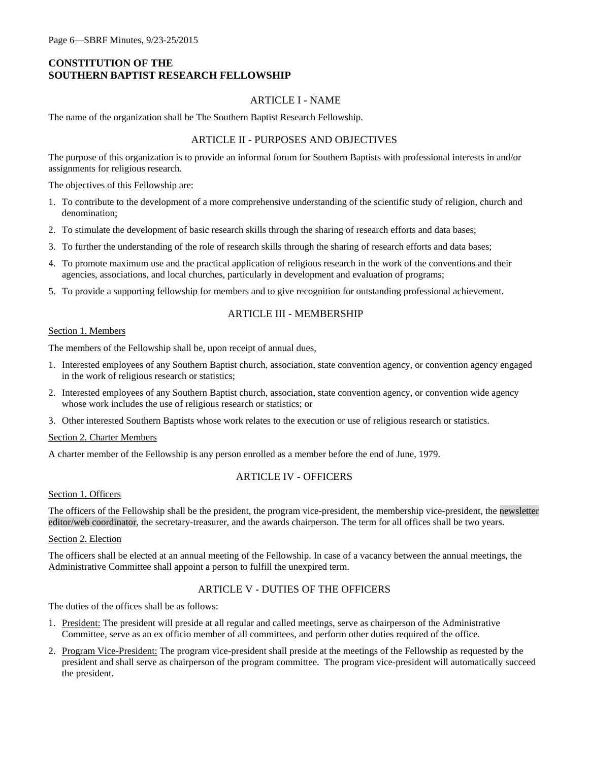### **CONSTITUTION OF THE SOUTHERN BAPTIST RESEARCH FELLOWSHIP**

### ARTICLE I - NAME

The name of the organization shall be The Southern Baptist Research Fellowship.

### ARTICLE II - PURPOSES AND OBJECTIVES

The purpose of this organization is to provide an informal forum for Southern Baptists with professional interests in and/or assignments for religious research.

The objectives of this Fellowship are:

- 1. To contribute to the development of a more comprehensive understanding of the scientific study of religion, church and denomination;
- 2. To stimulate the development of basic research skills through the sharing of research efforts and data bases;
- 3. To further the understanding of the role of research skills through the sharing of research efforts and data bases;
- 4. To promote maximum use and the practical application of religious research in the work of the conventions and their agencies, associations, and local churches, particularly in development and evaluation of programs;
- 5. To provide a supporting fellowship for members and to give recognition for outstanding professional achievement.

#### ARTICLE III - MEMBERSHIP

#### Section 1. Members

The members of the Fellowship shall be, upon receipt of annual dues,

- 1. Interested employees of any Southern Baptist church, association, state convention agency, or convention agency engaged in the work of religious research or statistics;
- 2. Interested employees of any Southern Baptist church, association, state convention agency, or convention wide agency whose work includes the use of religious research or statistics; or
- 3. Other interested Southern Baptists whose work relates to the execution or use of religious research or statistics.

#### Section 2. Charter Members

A charter member of the Fellowship is any person enrolled as a member before the end of June, 1979.

### ARTICLE IV - OFFICERS

#### Section 1. Officers

The officers of the Fellowship shall be the president, the program vice-president, the membership vice-president, the newsletter editor/web coordinator, the secretary-treasurer, and the awards chairperson. The term for all offices shall be two years.

### Section 2. Election

The officers shall be elected at an annual meeting of the Fellowship. In case of a vacancy between the annual meetings, the Administrative Committee shall appoint a person to fulfill the unexpired term.

### ARTICLE V - DUTIES OF THE OFFICERS

The duties of the offices shall be as follows:

- 1. President: The president will preside at all regular and called meetings, serve as chairperson of the Administrative Committee, serve as an ex officio member of all committees, and perform other duties required of the office.
- 2. Program Vice-President: The program vice-president shall preside at the meetings of the Fellowship as requested by the president and shall serve as chairperson of the program committee. The program vice-president will automatically succeed the president.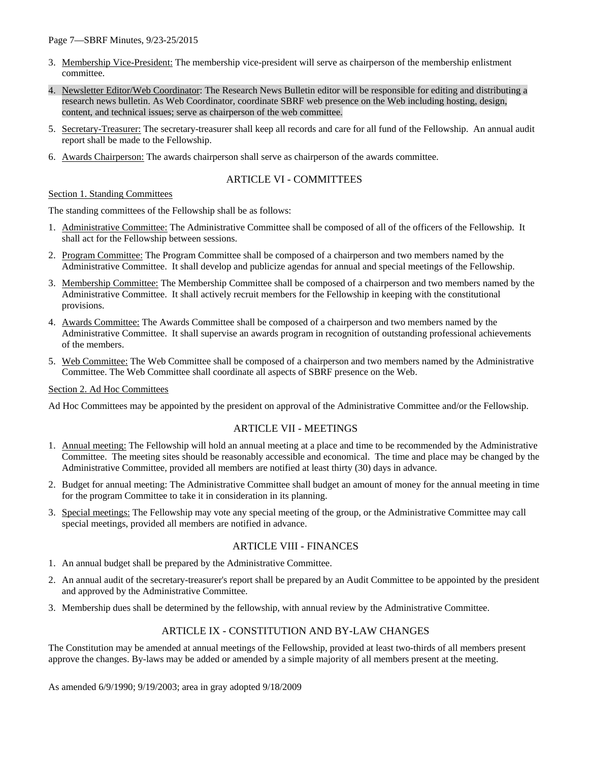Page 7—SBRF Minutes, 9/23-25/2015

- 3. Membership Vice-President: The membership vice-president will serve as chairperson of the membership enlistment committee.
- 4. Newsletter Editor/Web Coordinator: The Research News Bulletin editor will be responsible for editing and distributing a research news bulletin. As Web Coordinator, coordinate SBRF web presence on the Web including hosting, design, content, and technical issues; serve as chairperson of the web committee.
- 5. Secretary-Treasurer: The secretary-treasurer shall keep all records and care for all fund of the Fellowship. An annual audit report shall be made to the Fellowship.
- 6. Awards Chairperson: The awards chairperson shall serve as chairperson of the awards committee.

### ARTICLE VI - COMMITTEES

#### Section 1. Standing Committees

The standing committees of the Fellowship shall be as follows:

- 1. Administrative Committee: The Administrative Committee shall be composed of all of the officers of the Fellowship. It shall act for the Fellowship between sessions.
- 2. Program Committee: The Program Committee shall be composed of a chairperson and two members named by the Administrative Committee. It shall develop and publicize agendas for annual and special meetings of the Fellowship.
- 3. Membership Committee: The Membership Committee shall be composed of a chairperson and two members named by the Administrative Committee. It shall actively recruit members for the Fellowship in keeping with the constitutional provisions.
- 4. Awards Committee: The Awards Committee shall be composed of a chairperson and two members named by the Administrative Committee. It shall supervise an awards program in recognition of outstanding professional achievements of the members.
- 5. Web Committee: The Web Committee shall be composed of a chairperson and two members named by the Administrative Committee. The Web Committee shall coordinate all aspects of SBRF presence on the Web.

#### Section 2. Ad Hoc Committees

Ad Hoc Committees may be appointed by the president on approval of the Administrative Committee and/or the Fellowship.

### ARTICLE VII - MEETINGS

- 1. Annual meeting: The Fellowship will hold an annual meeting at a place and time to be recommended by the Administrative Committee. The meeting sites should be reasonably accessible and economical. The time and place may be changed by the Administrative Committee, provided all members are notified at least thirty (30) days in advance.
- 2. Budget for annual meeting: The Administrative Committee shall budget an amount of money for the annual meeting in time for the program Committee to take it in consideration in its planning.
- 3. Special meetings: The Fellowship may vote any special meeting of the group, or the Administrative Committee may call special meetings, provided all members are notified in advance.

#### ARTICLE VIII - FINANCES

- 1. An annual budget shall be prepared by the Administrative Committee.
- 2. An annual audit of the secretary-treasurer's report shall be prepared by an Audit Committee to be appointed by the president and approved by the Administrative Committee.
- 3. Membership dues shall be determined by the fellowship, with annual review by the Administrative Committee.

#### ARTICLE IX - CONSTITUTION AND BY-LAW CHANGES

The Constitution may be amended at annual meetings of the Fellowship, provided at least two-thirds of all members present approve the changes. By-laws may be added or amended by a simple majority of all members present at the meeting.

As amended 6/9/1990; 9/19/2003; area in gray adopted 9/18/2009